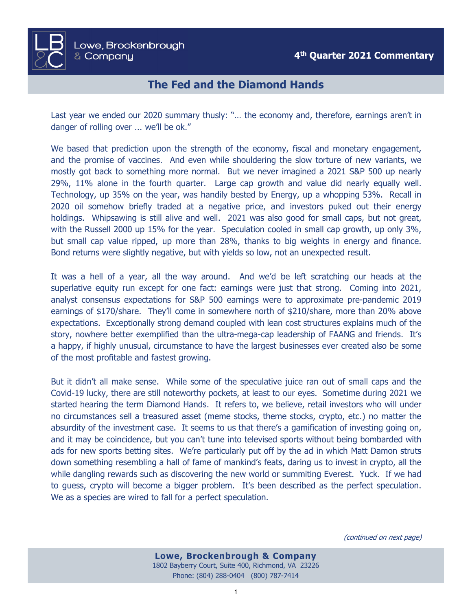

## **The Fed and the Diamond Hands**

Last year we ended our 2020 summary thusly: "… the economy and, therefore, earnings aren't in danger of rolling over ... we'll be ok."

We based that prediction upon the strength of the economy, fiscal and monetary engagement, and the promise of vaccines. And even while shouldering the slow torture of new variants, we mostly got back to something more normal. But we never imagined a 2021 S&P 500 up nearly 29%, 11% alone in the fourth quarter. Large cap growth and value did nearly equally well. Technology, up 35% on the year, was handily bested by Energy, up a whopping 53%. Recall in 2020 oil somehow briefly traded at a negative price, and investors puked out their energy holdings. Whipsawing is still alive and well. 2021 was also good for small caps, but not great, with the Russell 2000 up 15% for the year. Speculation cooled in small cap growth, up only 3%, but small cap value ripped, up more than 28%, thanks to big weights in energy and finance. Bond returns were slightly negative, but with yields so low, not an unexpected result.

It was a hell of a year, all the way around. And we'd be left scratching our heads at the superlative equity run except for one fact: earnings were just that strong. Coming into 2021, analyst consensus expectations for S&P 500 earnings were to approximate pre-pandemic 2019 earnings of \$170/share. They'll come in somewhere north of \$210/share, more than 20% above expectations. Exceptionally strong demand coupled with lean cost structures explains much of the story, nowhere better exemplified than the ultra-mega-cap leadership of FAANG and friends. It's a happy, if highly unusual, circumstance to have the largest businesses ever created also be some of the most profitable and fastest growing.

But it didn't all make sense. While some of the speculative juice ran out of small caps and the Covid-19 lucky, there are still noteworthy pockets, at least to our eyes. Sometime during 2021 we started hearing the term Diamond Hands. It refers to, we believe, retail investors who will under no circumstances sell a treasured asset (meme stocks, theme stocks, crypto, etc.) no matter the absurdity of the investment case. It seems to us that there's a gamification of investing going on, and it may be coincidence, but you can't tune into televised sports without being bombarded with ads for new sports betting sites. We're particularly put off by the ad in which Matt Damon struts down something resembling a hall of fame of mankind's feats, daring us to invest in crypto, all the while dangling rewards such as discovering the new world or summiting Everest. Yuck. If we had to guess, crypto will become a bigger problem. It's been described as the perfect speculation. We as a species are wired to fall for a perfect speculation.

(continued on next page)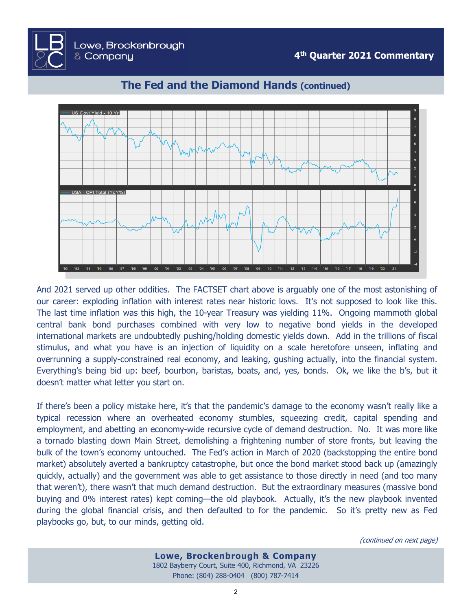

## **The Fed and the Diamond Hands (continued)**

Lowe, Brockenbrough

& Company

And 2021 served up other oddities. The FACTSET chart above is arguably one of the most astonishing of our career: exploding inflation with interest rates near historic lows. It's not supposed to look like this. The last time inflation was this high, the 10-year Treasury was yielding 11%. Ongoing mammoth global central bank bond purchases combined with very low to negative bond yields in the developed international markets are undoubtedly pushing/holding domestic yields down. Add in the trillions of fiscal stimulus, and what you have is an injection of liquidity on a scale heretofore unseen, inflating and overrunning a supply-constrained real economy, and leaking, gushing actually, into the financial system. Everything's being bid up: beef, bourbon, baristas, boats, and, yes, bonds. Ok, we like the b's, but it doesn't matter what letter you start on.

If there's been a policy mistake here, it's that the pandemic's damage to the economy wasn't really like a typical recession where an overheated economy stumbles, squeezing credit, capital spending and employment, and abetting an economy-wide recursive cycle of demand destruction. No. It was more like a tornado blasting down Main Street, demolishing a frightening number of store fronts, but leaving the bulk of the town's economy untouched. The Fed's action in March of 2020 (backstopping the entire bond market) absolutely averted a bankruptcy catastrophe, but once the bond market stood back up (amazingly quickly, actually) and the government was able to get assistance to those directly in need (and too many that weren't), there wasn't that much demand destruction. But the extraordinary measures (massive bond buying and 0% interest rates) kept coming—the old playbook. Actually, it's the new playbook invented during the global financial crisis, and then defaulted to for the pandemic. So it's pretty new as Fed playbooks go, but, to our minds, getting old.

(continued on next page)

**Lowe, Brockenbrough & Company** 1802 Bayberry Court, Suite 400, Richmond, VA 23226 Phone: (804) 288-0404 (800) 787-7414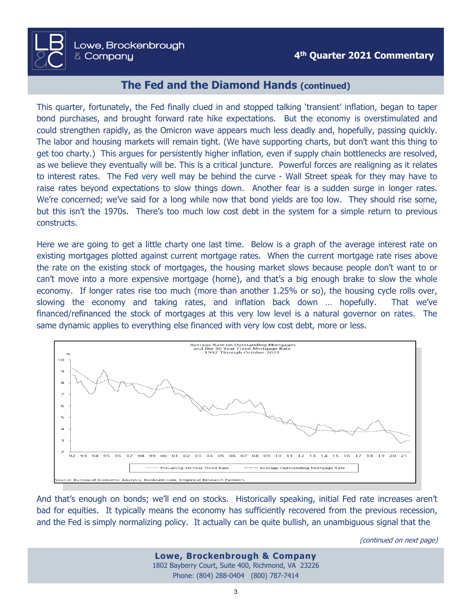## **The Fed and the Diamond Hands (continued)**

This quarter, fortunately, the Fed finally clued in and stopped talking 'transient' inflation, began to taper bond purchases, and brought forward rate hike expectations. But the economy is overstimulated and could strengthen rapidly, as the Omicron wave appears much less deadly and, hopefully, passing quickly. The labor and housing markets will remain tight. (We have supporting charts, but don't want this thing to get too charty.) This argues for persistently higher inflation, even if supply chain bottlenecks are resolved, as we believe they eventually will be. This is a critical juncture. Powerful forces are realigning as it relates to interest rates. The Fed very well may be behind the curve - Wall Street speak for they may have to raise rates beyond expectations to slow things down. Another fear is a sudden surge in longer rates. We're concerned; we've said for a long while now that bond yields are too low. They should rise some, but this isn't the 1970s. There's too much low cost debt in the system for a simple return to previous constructs.

Here we are going to get a little charty one last time. Below is a graph of the average interest rate on existing mortgages plotted against current mortgage rates. When the current mortgage rate rises above the rate on the existing stock of mortgages, the housing market slows because people don't want to or can't move into a more expensive mortgage (home), and that's a big enough brake to slow the whole economy. If longer rates rise too much (more than another 1.25% or so), the housing cycle rolls over, slowing the economy and taking rates, and inflation back down … hopefully. That we've financed/refinanced the stock of mortgages at this very low level is a natural governor on rates. The same dynamic applies to everything else financed with very low cost debt, more or less.



And that's enough on bonds; we'll end on stocks. Historically speaking, initial Fed rate increases aren't bad for equities. It typically means the economy has sufficiently recovered from the previous recession, and the Fed is simply normalizing policy. It actually can be quite bullish, an unambiguous signal that the

(continued on next page)

**Lowe, Brockenbrough & Company** 1802 Bayberry Court, Suite 400, Richmond, VA 23226 Phone: (804) 288-0404 (800) 787-7414